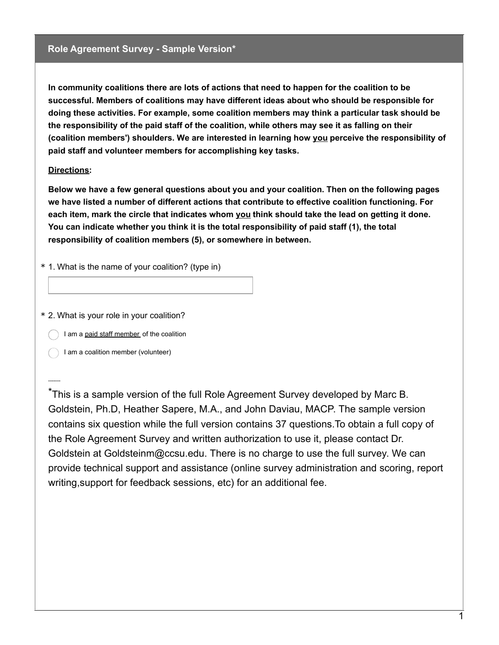## **Role Agreement Survey - Sample Version\***

**In community coalitions there are lots of actions that need to happen for the coalition to be successful. Members of coalitions may have different ideas about who should be responsible for doing these activities. For example, some coalition members may think a particular task should be the responsibility of the paid staff of the coalition, while others may see it as falling on their (coalition members') shoulders. We are interested in learning how you perceive the responsibility of paid staff and volunteer members for accomplishing key tasks.**

## **Directions:**

-------

**Below we have a few general questions about you and your coalition. Then on the following pages we have listed a number of different actions that contribute to effective coalition functioning. For each item, mark the circle that indicates whom you think should take the lead on getting it done. You can indicate whether you think it is the total responsibility of paid staff (1), the total responsibility of coalition members (5), or somewhere in between.**

\* 1. What is the name of your coalition? (type in)

\* 2. What is your role in your coalition?

I am a paid staff member of the coalition

I am a coalition member (volunteer)

This is a sample version of the full Role Agreement Survey developed by Marc B. \* Goldstein, Ph.D, Heather Sapere, M.A., and John Daviau, MACP. The sample version contains six question while the full version contains 37 questions.To obtain a full copy of the Role Agreement Survey and written authorization to use it, please contact Dr. Goldstein at Goldsteinm@ccsu.edu. There is no charge to use the full survey. We can provide technical support and assistance (online survey administration and scoring, report writing,support for feedback sessions, etc) for an additional fee.